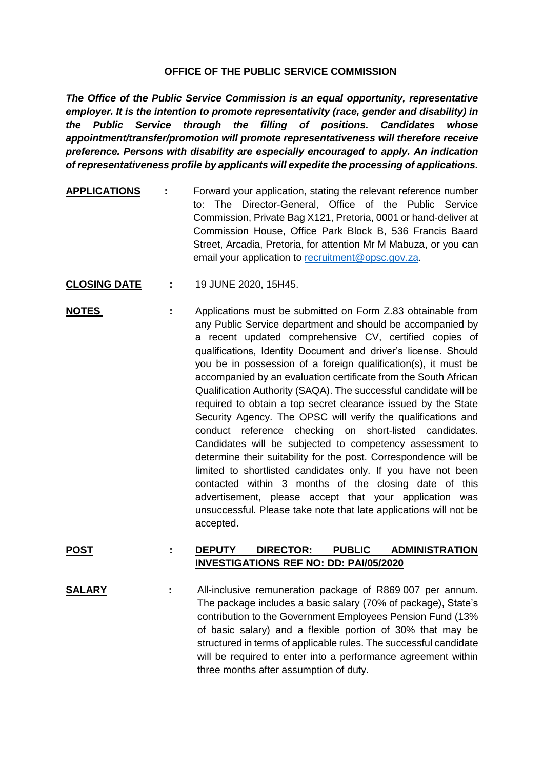## **OFFICE OF THE PUBLIC SERVICE COMMISSION**

*The Office of the Public Service Commission is an equal opportunity, representative employer. It is the intention to promote representativity (race, gender and disability) in the Public Service through the filling of positions. Candidates whose appointment/transfer/promotion will promote representativeness will therefore receive preference. Persons with disability are especially encouraged to apply. An indication of representativeness profile by applicants will expedite the processing of applications.*

- **APPLICATIONS :** Forward your application, stating the relevant reference number to: The Director-General, Office of the Public Service Commission, Private Bag X121, Pretoria, 0001 or hand-deliver at Commission House, Office Park Block B, 536 Francis Baard Street, Arcadia, Pretoria, for attention Mr M Mabuza, or you can email your application to [recruitment@opsc.gov.za.](mailto:recruitment@opsc.gov.za)
- **CLOSING DATE :** 19 JUNE 2020, 15H45.
- **NOTES** : Applications must be submitted on Form Z.83 obtainable from any Public Service department and should be accompanied by a recent updated comprehensive CV, certified copies of qualifications, Identity Document and driver's license. Should you be in possession of a foreign qualification(s), it must be accompanied by an evaluation certificate from the South African Qualification Authority (SAQA). The successful candidate will be required to obtain a top secret clearance issued by the State Security Agency. The OPSC will verify the qualifications and conduct reference checking on short-listed candidates. Candidates will be subjected to competency assessment to determine their suitability for the post. Correspondence will be limited to shortlisted candidates only. If you have not been contacted within 3 months of the closing date of this advertisement, please accept that your application was unsuccessful. Please take note that late applications will not be accepted.

## **POST : DEPUTY DIRECTOR: PUBLIC ADMINISTRATION INVESTIGATIONS REF NO: DD: PAI/05/2020**

**SALARY :** All-inclusive remuneration package of R869 007 per annum. The package includes a basic salary (70% of package), State's contribution to the Government Employees Pension Fund (13% of basic salary) and a flexible portion of 30% that may be structured in terms of applicable rules. The successful candidate will be required to enter into a performance agreement within three months after assumption of duty.